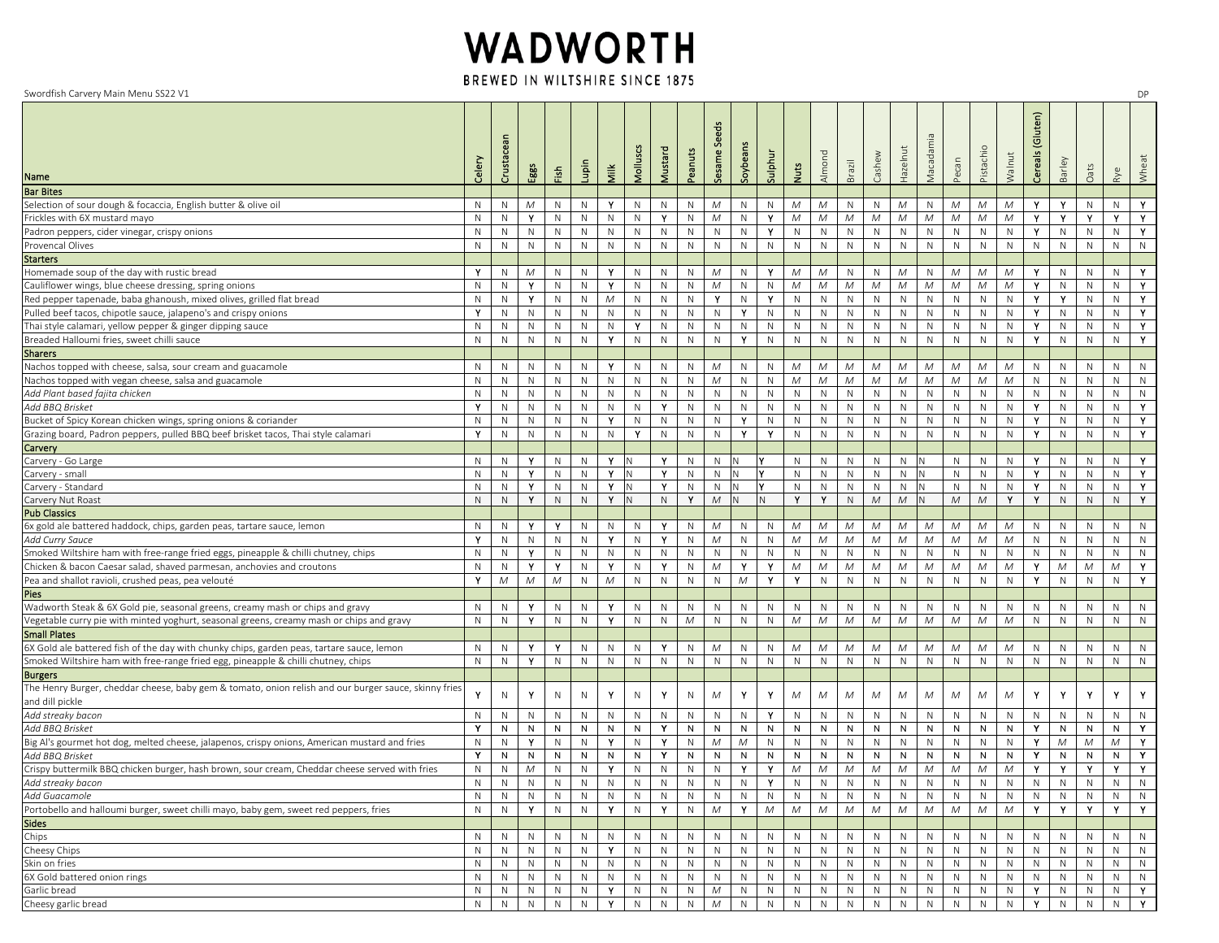## WADWORTH

BREWED IN WILTSHIRE SINCE 1875

Swordfish Carvery Main Menu SS22 V1

| Swordfish Carvery Main Menu SS22 V1                                                                                 |              |                |              |               |                              |              |                   |                           |              |                 |              |              |                   |              |              |              |              |            |              |              |                             |                     |                                 |                              |              | DP    |
|---------------------------------------------------------------------------------------------------------------------|--------------|----------------|--------------|---------------|------------------------------|--------------|-------------------|---------------------------|--------------|-----------------|--------------|--------------|-------------------|--------------|--------------|--------------|--------------|------------|--------------|--------------|-----------------------------|---------------------|---------------------------------|------------------------------|--------------|-------|
| Name                                                                                                                | Celery       | Crustacean     | Eggs         | $\tilde{\Xi}$ | Lupin                        | Milk         | Molluscs          | Mustard                   | Peanuts      | Seeds<br>Sesame | Soybear      | Sulphur      | <b>Nuts</b>       | Almond       | Brazil       | Cashew       | Hazelnut     | Macadamia  | Pecan        | Pistachi     | Walnut                      | (Gluten)<br>Cereals | Barley                          | Oats                         | Rye          | Wheat |
| <b>Bar Bites</b>                                                                                                    |              |                |              |               |                              |              |                   |                           |              |                 |              |              |                   |              |              |              |              |            |              |              |                             |                     |                                 |                              |              |       |
| Selection of sour dough & focaccia, English butter & olive oil                                                      | N            | N              | M            | N             | $\mathsf{N}$                 | Y            | $\mathsf{N}$      | $\mathsf{N}$              | $\mathsf{N}$ | M               | $\mathsf{N}$ | $\mathsf{N}$ | M                 | M            | N            | $\mathsf{N}$ | M            | N          | M            | M            | M                           | Y.                  | Y.                              | N                            | N            | Y     |
| Frickles with 6X mustard mayo                                                                                       | N            | N              | Υ            | N             | $\mathsf{N}$                 | N            | $\mathsf{N}$      | Y                         | $\mathsf{N}$ | M               | $\mathsf{N}$ | Y            | M                 | M            | M            | M            | M            | M          | $\mathcal M$ | M            | ${\cal M}$                  | Y                   | Y                               | Y                            | Y.           | Y.    |
| Padron peppers, cider vinegar, crispy onions                                                                        | N            | N              | N            | N             | N                            | N            | ${\sf N}$         | ${\sf N}$                 | $\mathsf{N}$ | N               | $\mathsf{N}$ | Y            | $\mathsf{N}$      | $\mathsf{N}$ | $\mathsf{N}$ | $\mathsf{N}$ | $\mathsf{N}$ | N          | $\mathbb N$  | ${\sf N}$    | ${\sf N}$                   | Y.                  | $\mathsf{N}$                    | N                            | N            | Y.    |
| Provencal Olives                                                                                                    | N            | N              | N            | N             | N                            | N            | ${\sf N}$         | ${\sf N}$                 | N            | $\mathsf{N}$    | $\mathsf{N}$ | $\mathsf N$  | N                 | N            | ${\sf N}$    | N            | $\mathsf{N}$ | N          | $\mathsf{N}$ | $\mathsf{N}$ | N                           | N                   | N                               | N                            | N            | N     |
|                                                                                                                     |              |                |              |               |                              |              |                   |                           |              |                 |              |              |                   |              |              |              |              |            |              |              |                             |                     |                                 |                              |              |       |
| <b>Starters</b>                                                                                                     | Y            |                | М            |               | N                            | Y            | ${\sf N}$         | ${\sf N}$                 | $\mathsf{N}$ | M               | $\mathsf{N}$ | Y            | M                 | M            | N            | ${\sf N}$    | M            | N          | М            | ${\cal M}$   | ${\cal M}$                  | Y.                  | N                               | N                            | N            | Y.    |
| Homemade soup of the day with rustic bread                                                                          | ${\sf N}$    | N              | Y            | N<br>N        | $\mathsf{N}$                 | Y            | $\mathsf{N}$      | ${\sf N}$                 | $\mathsf{N}$ | ${\cal M}$      | $\mathsf{N}$ | $\mathsf N$  | ${\cal M}$        | ${\cal M}$   | ${\cal M}$   | ${\cal M}$   | M            | M          | M            | M            | ${\cal M}$                  | Y                   | $\mathsf{N}$                    | N                            | N            | Y     |
| Cauliflower wings, blue cheese dressing, spring onions                                                              | N            | N              | Y            |               | N                            | M            | ${\sf N}$         | ${\sf N}$                 | $\mathsf{N}$ | Y               | $\mathsf{N}$ | Y            | N                 | $\mathsf{N}$ | ${\sf N}$    | ${\sf N}$    | $\mathsf{N}$ | N          | $\mathsf{N}$ | ${\sf N}$    | $\mathsf{N}$                | Y                   | Y                               | N                            | N            | Y.    |
| Red pepper tapenade, baba ghanoush, mixed olives, grilled flat bread                                                |              | N              |              | Ν             |                              |              |                   |                           | $\mathsf{N}$ |                 | Y            |              |                   |              |              |              | $\mathsf{N}$ |            |              |              |                             | Y                   |                                 |                              | $\mathsf{N}$ | Y.    |
| Pulled beef tacos, chipotle sauce, jalapeno's and crispy onions                                                     |              | Ν              | N            | N             | $\mathsf{N}$<br>$\mathsf{N}$ | N            | $\mathsf{N}$<br>Y | $\mathsf{N}$<br>${\sf N}$ | $\mathsf{N}$ | $\mathsf N$     | $\mathsf N$  | $\mathsf N$  | N<br>$\mathsf{N}$ | $\mathsf{N}$ | ${\sf N}$    | N            | $\mathsf{N}$ | N          | $\mathsf{N}$ | ${\sf N}$    | $\mathsf{N}$<br>$\mathbb N$ | Y                   | N<br>$\mathsf{N}$               | $\mathsf{N}$<br>$\mathsf{N}$ | $\mathsf{N}$ | Y.    |
| Thai style calamari, yellow pepper & ginger dipping sauce                                                           | N            | N              | N            | N             |                              | N            |                   |                           |              | N               | Y            | $\mathsf{N}$ |                   | N            | ${\sf N}$    | ${\sf N}$    |              | N          | $\mathsf{N}$ | ${\sf N}$    |                             | Y                   |                                 |                              |              |       |
| Breaded Halloumi fries, sweet chilli sauce                                                                          | N            | N              | N            | N             | $\mathsf{N}$                 | Y            | $\mathsf{N}$      | $\mathsf{N}$              | $\mathsf N$  | $\mathsf{N}$    |              | $\mathsf{N}$ | $\mathsf{N}$      | $\mathsf{N}$ | $\mathsf N$  | N            | $\mathsf{N}$ | N          | $\mathsf{N}$ | $\mathsf{N}$ | ${\sf N}$                   |                     | N                               | N                            | $\mathsf{N}$ | Y.    |
| <b>Sharers</b>                                                                                                      |              |                |              |               |                              |              |                   |                           |              |                 |              |              |                   |              |              |              |              |            |              |              |                             |                     |                                 |                              |              |       |
| Nachos topped with cheese, salsa, sour cream and guacamole                                                          | N            | N              | N            | N             | ${\sf N}$                    | Y            | $\mathsf{N}$      | $\mathsf{N}$              | $\mathsf{N}$ | M               | $\mathsf{N}$ | $\mathsf N$  | M                 | M            | M            | M            | M            | M          | $\mathcal M$ | M            | M                           | N                   | N                               | N                            | N            | N     |
| Nachos topped with vegan cheese, salsa and guacamole                                                                | $\mathsf{N}$ | N              | $\mathsf{N}$ | N             | $\mathsf{N}$                 | $\mathsf{N}$ | $\mathsf{N}$      | ${\sf N}$                 | $\mathsf N$  | ${\cal M}$      | $\mathsf{N}$ | $\mathsf{N}$ | M                 | M            | ${\cal M}$   | $\cal M$     | M            | M          | $\mathcal M$ | M            | ${\cal M}$                  | N                   | N                               | N                            | $\mathsf{N}$ | N     |
| Add Plant based fajita chicken                                                                                      | N            | N              | $\mathsf{N}$ | N             | $\mathsf{N}$                 | N            | $\mathsf{N}$      | $\mathsf{N}$              | ${\sf N}$    | N               | $\mathsf{N}$ | $\mathsf N$  | ${\sf N}$         | $\mathsf{N}$ | N            | N            | $\mathsf{N}$ | N          | $\mathsf{N}$ | $\mathsf{N}$ | ${\sf N}$                   | N                   | N                               | N                            | N            | N     |
| Add BBQ Brisket                                                                                                     | Y            | N              | N            | N             | N                            | N            | N                 | Y                         | N            | $\mathsf{N}$    | N            | N            | $\mathsf{N}$      | N            | $\mathsf{N}$ | $\mathsf{N}$ | $\mathsf{N}$ | N          | N            | $\mathsf{N}$ | $\mathsf{N}$                | Y.                  | N                               | N                            | N            | Y.    |
| Bucket of Spicy Korean chicken wings, spring onions & coriander                                                     | N            | N              | N            | N             | $\mathsf{N}$                 | Y.           | ${\sf N}$         | ${\sf N}$                 | $\mathsf{N}$ | N               | Y.           | $\mathsf N$  | ${\sf N}$         | $\mathsf{N}$ | $\mathsf N$  | ${\sf N}$    | ${\sf N}$    | N          | $\mathsf{N}$ | ${\sf N}$    | ${\sf N}$                   | Y.                  | N                               | N                            | N            | Y.    |
| Grazing board, Padron peppers, pulled BBQ beef brisket tacos, Thai style calamari                                   | Y            | N              | ${\sf N}$    | N             | ${\sf N}$                    | $\mathsf{N}$ | Y                 | ${\sf N}$                 | $\mathsf N$  | $\mathsf{N}$    | Y            | Y            | $\mathsf{N}$      | $\mathsf{N}$ | $\mathsf{N}$ | $\mathsf N$  | $\mathsf{N}$ | ${\sf N}$  | $\mathsf{N}$ | $\mathsf{N}$ | N                           | Y.                  | N                               | N                            | N            | Y     |
| Carvery                                                                                                             |              |                |              |               |                              |              |                   |                           |              |                 |              |              |                   |              |              |              |              |            |              |              |                             |                     |                                 |                              |              |       |
| Carvery - Go Large                                                                                                  | N            | N              | Y            | N             | N                            | Y            |                   | Y                         | N            | N               |              |              | N                 | N            | $\mathsf{N}$ | $\mathsf{N}$ | N            |            | N            | N            | N                           | Y                   | N                               | N                            | N            | Y     |
| Carvery - small                                                                                                     | N            | N              | Y            | N             | N                            | Y.           |                   | Y                         | N            | N               |              |              | $\mathsf{N}$      | N            | $\mathsf{N}$ | $\mathsf{N}$ | $\mathsf{N}$ | N          | ${\sf N}$    | ${\sf N}$    | $\mathbb N$                 | Y.                  | $\mathsf{N}$                    | $\mathsf{N}$                 | N            | Y     |
| Carvery - Standard                                                                                                  | $\mathsf{N}$ | N              | Υ            | N             | $\mathsf{N}$                 | Y.           |                   | Y                         | N            | $\mathsf{N}$    |              |              | $\mathsf{N}$      | $\mathsf{N}$ | N            | $\mathsf{N}$ | N            |            | $\mathbb N$  | $\mathsf{N}$ | N                           | Y.                  | N                               | N                            | N            | Y     |
| Carvery Nut Roast                                                                                                   | N            | N              | Y            | N             | ${\sf N}$                    | Y            |                   | ${\sf N}$                 | Y.           | ${\cal M}$      |              |              | Y                 | Y.           | $\mathsf{N}$ | $M_{\odot}$  | $\mathcal M$ | N          | $\cal M$     | $\cal M$     | Y.                          | Y.                  | $\mathbb N$                     | $\mathsf{N}$                 | $\mathsf{N}$ | Y     |
| <b>Pub Classics</b>                                                                                                 |              |                |              |               |                              |              |                   |                           |              |                 |              |              |                   |              |              |              |              |            |              |              |                             |                     |                                 |                              |              |       |
| 6x gold ale battered haddock, chips, garden peas, tartare sauce, lemon                                              | N            | N              | Υ            | Y             | N                            | N            | N                 | Y                         | $\mathsf{N}$ | M               | N            | N            | M                 | M            | M            | M            | M            | M          | M            | M            | M                           | N                   | N                               | N                            | N            | N     |
| Add Curry Sauce                                                                                                     | Y            | N              | $\mathsf{N}$ | N             | N                            | Y            | ${\sf N}$         | Y                         | $\mathsf N$  | ${\cal M}$      | $\mathsf N$  | $\mathsf{N}$ | M                 | M            | ${\cal M}$   | ${\cal M}$   | M            | ${\cal M}$ | ${\cal M}$   | M            | ${\cal M}$                  | N                   | N                               | N                            | N            | N     |
| Smoked Wiltshire ham with free-range fried eggs, pineapple & chilli chutney, chips                                  | N            | N              | Y            | N             | N                            | N            | ${\sf N}$         | ${\sf N}$                 | N            | N               | $\mathsf N$  | $\mathsf N$  | N                 | $\mathsf{N}$ | $\mathsf{N}$ | $\mathsf{N}$ | N            | N          | $\mathbb N$  | ${\sf N}$    | N                           | N                   | $\mathbb N$                     | N                            | N            | N     |
| Chicken & bacon Caesar salad, shaved parmesan, anchovies and croutons                                               | $\mathsf{N}$ | N              | Y            | Υ             | $\mathsf{N}$                 | Y            | $\mathsf{N}$      | Y                         | $\mathsf{N}$ | M               | Y            | Y            | M                 | M            | ${\cal M}$   | ${\cal M}$   | M            | M          | $\cal M$     | ${\cal M}$   | М                           | Y                   | ${\cal M}$                      | M                            | М            | Y.    |
| Pea and shallot ravioli, crushed peas, pea velouté                                                                  | Y            | M              | M            | Μ             | ${\sf N}$                    | M            | $\mathsf{N}$      | $\mathsf{N}$              | $\mathsf N$  | N               | ${\cal M}$   | Y            | Y                 | $\mathsf{N}$ | $\mathsf N$  | N            | $\mathsf{N}$ | N          | $\mathsf{N}$ | ${\sf N}$    | ${\sf N}$                   | Y                   | N                               | N                            | $\mathsf{N}$ | Y     |
| Pies                                                                                                                |              |                |              |               |                              |              |                   |                           |              |                 |              |              |                   |              |              |              |              |            |              |              |                             |                     |                                 |                              |              |       |
| Wadworth Steak & 6X Gold pie, seasonal greens, creamy mash or chips and gravy                                       | N            | N              | Υ            | N             | N                            | Y            | $\mathsf{N}$      | $\mathsf N$               | $\mathsf{N}$ | N               | $\mathsf{N}$ | $\mathsf N$  | N                 | ${\sf N}$    | N            | $\mathsf{N}$ | N            | N          | N            | N            | N                           | N                   | N                               | N                            | N            | N     |
| Vegetable curry pie with minted yoghurt, seasonal greens, creamy mash or chips and gravy                            | N            | N              | Υ            | N             | ${\sf N}$                    | Y            | $\mathsf{N}$      | ${\sf N}$                 | М            | $\mathsf{N}$    | $\mathbb N$  | $\mathsf N$  | ${\cal M}$        | $\cal M$     | $\cal M$     | $\mathcal M$ | M            | M          | ${\cal M}$   | M            | $\cal M$                    | N                   | $\mathsf{N}$                    | N                            | $\mathsf{N}$ | N     |
| <b>Small Plates</b>                                                                                                 |              |                |              |               |                              |              |                   |                           |              |                 |              |              |                   |              |              |              |              |            |              |              |                             |                     |                                 |                              |              |       |
| 6X Gold ale battered fish of the day with chunky chips, garden peas, tartare sauce, lemon                           | N            | N              | Y            | Y             | ${\sf N}$                    | Ν            | $\mathsf{N}$      | Y                         | $\mathsf N$  | M               | N            | N            | Μ                 | M            | M            | M            | M            | M          | M            | M            | M                           | N                   | N                               | N                            | N            | N     |
| Smoked Wiltshire ham with free-range fried egg, pineapple & chilli chutney, chips                                   | N            | N              | Y            | N             | $\mathsf{N}$                 | N            | ${\sf N}$         | N                         | $\mathsf{N}$ | $\mathsf{N}$    | ${\sf N}$    | N            | ${\sf N}$         | N            | ${\sf N}$    | N            | $\mathsf{N}$ | N          | ${\sf N}$    | $\mathsf{N}$ | ${\sf N}$                   | N                   | N                               | N                            | N            | N     |
| <b>Burgers</b>                                                                                                      |              |                |              |               |                              |              |                   |                           |              |                 |              |              |                   |              |              |              |              |            |              |              |                             |                     |                                 |                              |              |       |
| The Henry Burger, cheddar cheese, baby gem & tomato, onion relish and our burger sauce, skinny fries                | Y            | N              | Υ            | N             | $\mathsf{N}$                 | Y            | $\mathsf{N}$      | Y                         | $\mathsf N$  | M               | Y            | Y            | M                 | M            | M            | M            | M            | M          | M            | Μ            | Μ                           | Y                   | Y                               | Y                            | Y            | Y     |
| and dill pickle                                                                                                     |              |                |              |               |                              |              |                   |                           |              |                 |              |              |                   |              |              |              |              |            |              |              |                             |                     |                                 |                              |              |       |
| Add streaky bacon                                                                                                   | N            | N              | ${\sf N}$    | N             | N                            | N            | ${\sf N}$         | $\mathsf{N}$              | $\mathsf{N}$ | N               | $\mathsf{N}$ | Y            | N                 | N            | $\mathsf{N}$ | N            | $\mathsf{N}$ | N          | $\mathbb N$  | N            | $\mathsf{N}$                | N                   | N                               | N                            | N            | N     |
| Add BBQ Brisket                                                                                                     | Y            | N              | N            | N             | N                            | ${\sf N}$    | ${\sf N}$         | Y                         | N            | N               | ${\sf N}$    | ${\sf N}$    | N                 | N            | $\mathsf{N}$ | $\mathsf{N}$ | N            | N          | $\mathsf{N}$ | N            | N                           | Y                   | N                               | N                            | N            | Y     |
| Big Al's gourmet hot dog, melted cheese, jalapenos, crispy onions, American mustard and fries                       | N            | N              | Y            | N             | $\mathsf{N}$                 | Y            | N                 | Y                         | $\mathsf N$  | M               | ${\cal M}$   | $\mathsf N$  | ${\sf N}$         | N            | N            | $\mathsf N$  | $\mathsf{N}$ | N          | $\mathsf{N}$ | $\mathsf{N}$ | N                           | Y                   | $\mathcal M$                    | M                            | M            | Y.    |
| Add BBQ Brisket                                                                                                     | Y            | N              | N            | N             | ${\sf N}$                    | Ν            | N                 | Υ                         | ${\sf N}$    | N               | N            | N            | $\mathsf{N}$      | N            | ${\sf N}$    | N            | ${\sf N}$    | N          | N            | N            | N                           | Y                   | N                               | N                            | N            | Y     |
| Crispy buttermilk BBQ chicken burger, hash brown, sour cream, Cheddar cheese served with fries<br>Add streaky bacon | $\mathsf{N}$ | N              | ${\cal M}$   | N             | $\mathsf{N}$                 | Y            | ${\sf N}$         | $\mathsf{N}$              | $\mathsf{N}$ | $\mathsf{N}$    | Y.           | Y            | M                 | $\cal M$     | ${\cal M}$   | ${\cal M}$   | M            | M          | ${\cal M}$   | ${\cal M}$   | М                           | Y                   | Y                               | Y                            | Y            | Y.    |
|                                                                                                                     |              |                |              |               | N N N N N N N N N N N N      |              |                   |                           |              |                 |              |              |                   |              |              |              |              |            |              |              |                             |                     | Y N N N N N N N N N N N N N N N |                              |              |       |
| Add Guacamole                                                                                                       | N            | N              | N            | N             | N                            | N            | N                 | N                         | N            | N               | N            | N            | N                 | N            | N            | N            | N            | N          | N            | N            | N                           | N                   | N                               | N                            | N            | N     |
| Portobello and halloumi burger, sweet chilli mayo, baby gem, sweet red peppers, fries                               | N            | N              | Y.           | N             | N                            | Y            | N                 | Y.                        | N            | M               | Y.           | $M_{\odot}$  | M                 | M            | M            | $M_{\odot}$  | M            | M          | M            | M            | $M_{\odot}$                 | - Y - I             | $\mathbf{Y}$                    | $\mathbf{Y}$                 | Y I          | −Y−   |
| <b>Sides</b>                                                                                                        |              |                |              |               |                              |              |                   |                           |              |                 |              |              |                   |              |              |              |              |            |              |              |                             |                     |                                 |                              |              |       |
| Chips                                                                                                               | N            | N              | N            | N             | N                            | N            | N                 | N                         | N            | N               | N            | N            | N                 | N            | N            | N            | N            | N          | N            | N            | N                           | N.                  | N                               | N                            | N            | N     |
| Cheesy Chips                                                                                                        | N            | N              | N            | N             | N                            | Y            | N                 | N                         | N            | $\mathsf{N}$    | N            | N            | $\mathsf{N}$      | N            | N            | N            | N            | N          | N            | N            | N                           | N.                  | N                               | N                            | N            | N     |
| Skin on fries                                                                                                       | N.           | N              | N            | N             | N                            | N            | $\mathsf{N}$      | N                         | N            | N               | N            | N            | N                 | N            | N            | N            | N            | N          | N            | N            | N                           | N                   | N                               | N                            | N            | N     |
| 6X Gold battered onion rings                                                                                        | N            | N.             | N            | N             | N                            | N            | N                 | N                         | N            | N               | N            | N            | N                 | N            | N            | N            | N            | N          | N            | N            | N                           | N                   | N                               | N                            | N            | N     |
| Garlic bread                                                                                                        | N            | N.             | N            | N             | N.                           | Y.           | N                 | $\mathsf{N}$              | N            | M               | N            | N            | N                 | N            | N            | N            | N            | N          | N            | N            | N                           | Y                   | N                               | N                            | N            | Y.    |
| Cheesy garlic bread                                                                                                 | N.           | N <sub>1</sub> | N            | N             | N                            | Y            | N                 | N                         | N            | M               | N            | N            | N                 | N            | N            | N            | N            | N          | N            | N            | N                           | Y I                 | N                               | N                            | N            | Y     |